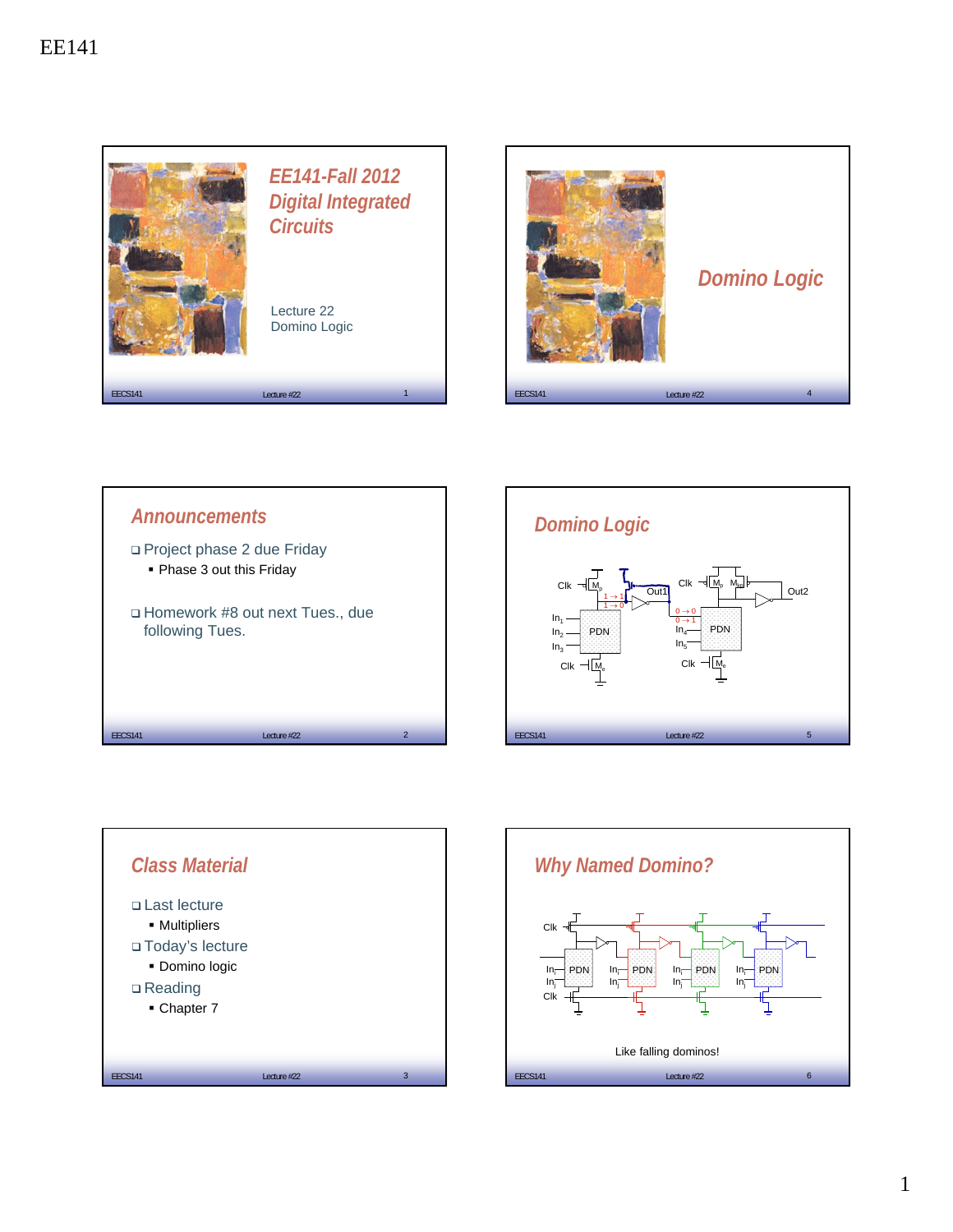









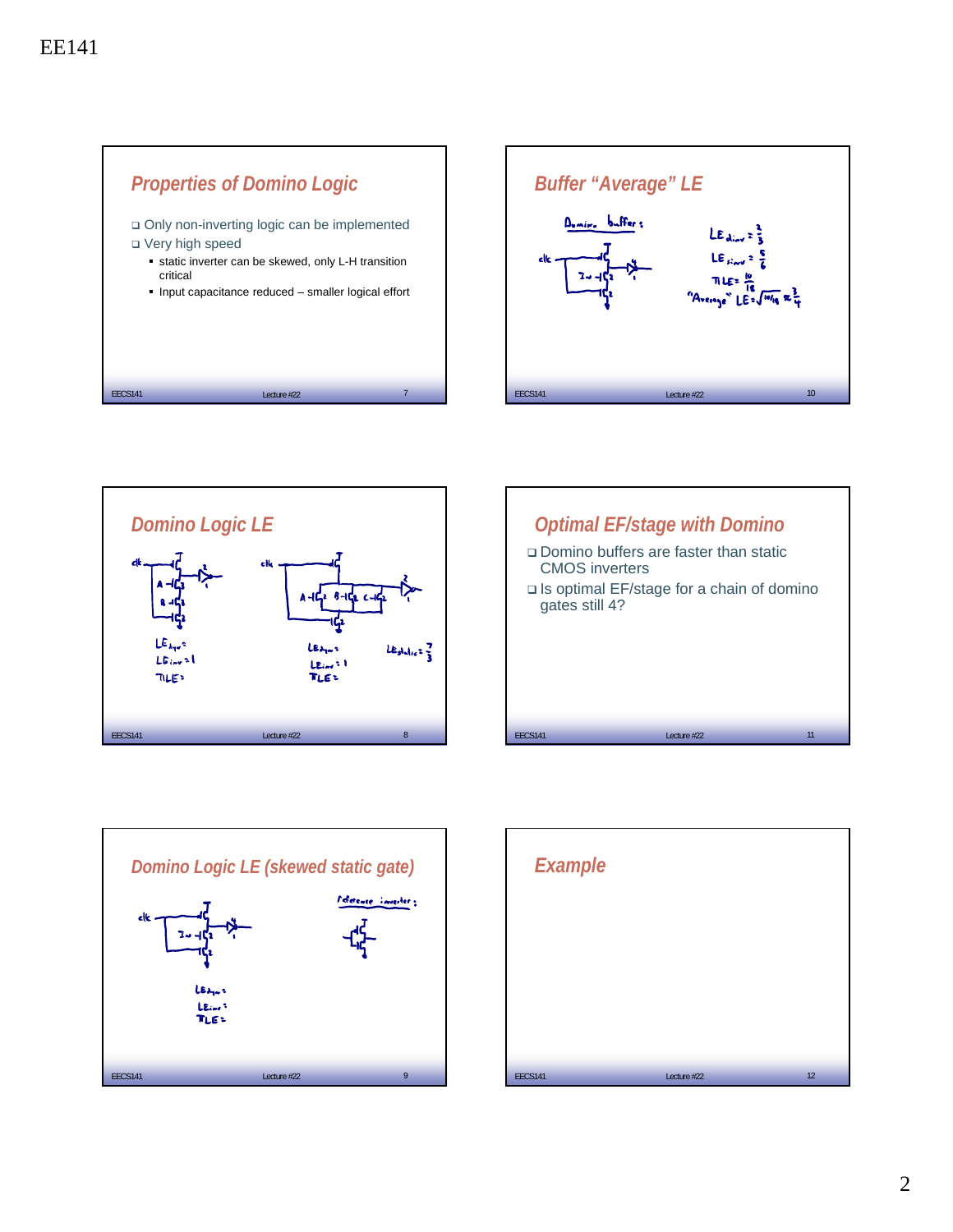









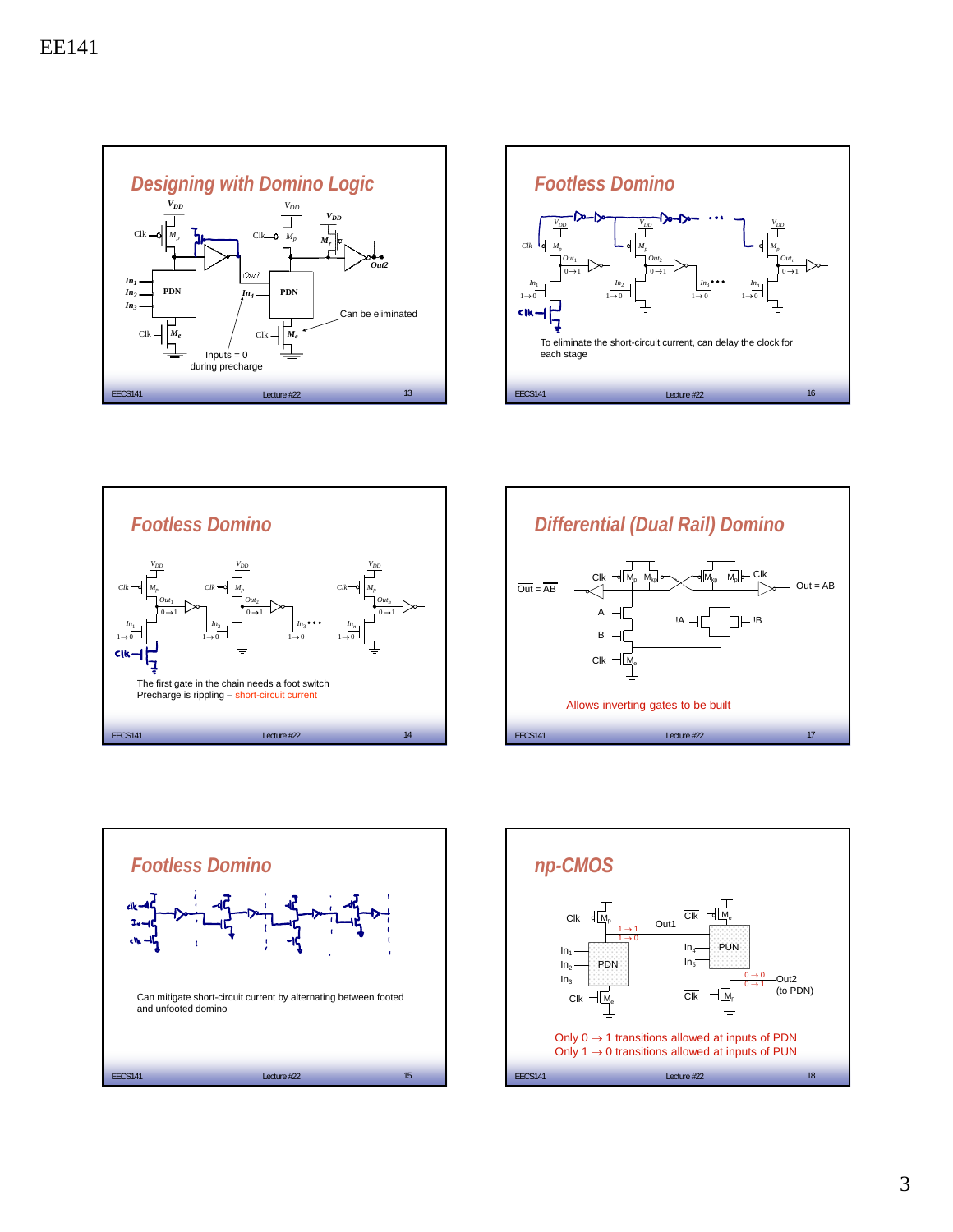